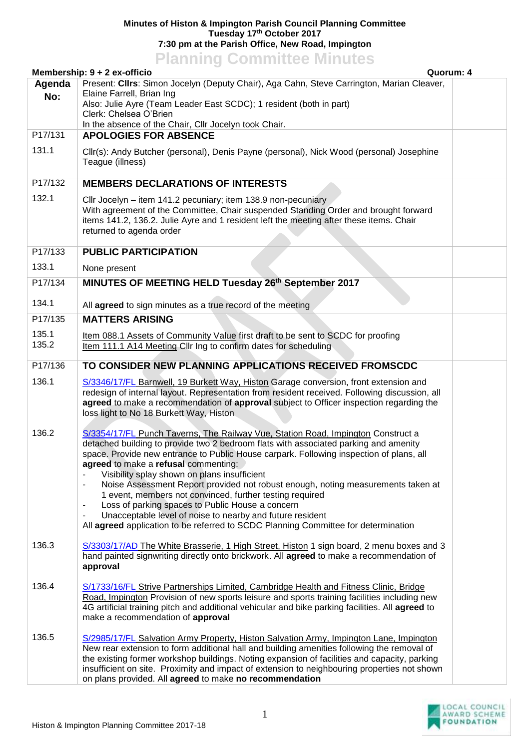## **Minutes of Histon & Impington Parish Council Planning Committee Tuesday 17th October 2017 7:30 pm at the Parish Office, New Road, Impington**

|                                           | <b>Planning Committee Minutes</b>                                                                                                                                                                                                                                                                                                                                                                                                                                                                                                                                                                                                                                                                                                                                                  |  |
|-------------------------------------------|------------------------------------------------------------------------------------------------------------------------------------------------------------------------------------------------------------------------------------------------------------------------------------------------------------------------------------------------------------------------------------------------------------------------------------------------------------------------------------------------------------------------------------------------------------------------------------------------------------------------------------------------------------------------------------------------------------------------------------------------------------------------------------|--|
| Membership: 9 + 2 ex-officio<br>Quorum: 4 |                                                                                                                                                                                                                                                                                                                                                                                                                                                                                                                                                                                                                                                                                                                                                                                    |  |
| Agenda<br>No:                             | Present: Clirs: Simon Jocelyn (Deputy Chair), Aga Cahn, Steve Carrington, Marian Cleaver,<br>Elaine Farrell, Brian Ing<br>Also: Julie Ayre (Team Leader East SCDC); 1 resident (both in part)<br>Clerk: Chelsea O'Brien<br>In the absence of the Chair, Cllr Jocelyn took Chair.                                                                                                                                                                                                                                                                                                                                                                                                                                                                                                   |  |
| P17/131                                   | <b>APOLOGIES FOR ABSENCE</b>                                                                                                                                                                                                                                                                                                                                                                                                                                                                                                                                                                                                                                                                                                                                                       |  |
| 131.1                                     | Cllr(s): Andy Butcher (personal), Denis Payne (personal), Nick Wood (personal) Josephine<br>Teague (illness)                                                                                                                                                                                                                                                                                                                                                                                                                                                                                                                                                                                                                                                                       |  |
| P17/132                                   | <b>MEMBERS DECLARATIONS OF INTERESTS</b>                                                                                                                                                                                                                                                                                                                                                                                                                                                                                                                                                                                                                                                                                                                                           |  |
| 132.1                                     | Cllr Jocelyn - item 141.2 pecuniary; item 138.9 non-pecuniary<br>With agreement of the Committee, Chair suspended Standing Order and brought forward<br>items 141.2, 136.2. Julie Ayre and 1 resident left the meeting after these items. Chair<br>returned to agenda order                                                                                                                                                                                                                                                                                                                                                                                                                                                                                                        |  |
| P17/133                                   | <b>PUBLIC PARTICIPATION</b>                                                                                                                                                                                                                                                                                                                                                                                                                                                                                                                                                                                                                                                                                                                                                        |  |
| 133.1                                     | None present                                                                                                                                                                                                                                                                                                                                                                                                                                                                                                                                                                                                                                                                                                                                                                       |  |
| P17/134                                   | MINUTES OF MEETING HELD Tuesday 26th September 2017                                                                                                                                                                                                                                                                                                                                                                                                                                                                                                                                                                                                                                                                                                                                |  |
| 134.1                                     | All agreed to sign minutes as a true record of the meeting                                                                                                                                                                                                                                                                                                                                                                                                                                                                                                                                                                                                                                                                                                                         |  |
| P17/135                                   | <b>MATTERS ARISING</b>                                                                                                                                                                                                                                                                                                                                                                                                                                                                                                                                                                                                                                                                                                                                                             |  |
| 135.1<br>135.2                            | Item 088.1 Assets of Community Value first draft to be sent to SCDC for proofing<br>Item 111.1 A14 Meeting Cllr Ing to confirm dates for scheduling                                                                                                                                                                                                                                                                                                                                                                                                                                                                                                                                                                                                                                |  |
| P17/136                                   | TO CONSIDER NEW PLANNING APPLICATIONS RECEIVED FROMSCDC                                                                                                                                                                                                                                                                                                                                                                                                                                                                                                                                                                                                                                                                                                                            |  |
| 136.1                                     | S/3346/17/FL Barnwell, 19 Burkett Way, Histon Garage conversion, front extension and<br>redesign of internal layout. Representation from resident received. Following discussion, all<br>agreed to make a recommendation of approval subject to Officer inspection regarding the<br>loss light to No 18 Burkett Way, Histon                                                                                                                                                                                                                                                                                                                                                                                                                                                        |  |
| 136.2                                     | S/3354/17/FL Punch Taverns, The Railway Vue, Station Road, Impington Construct a<br>detached building to provide two 2 bedroom flats with associated parking and amenity<br>space. Provide new entrance to Public House carpark. Following inspection of plans, all<br>agreed to make a refusal commenting:<br>Visibility splay shown on plans insufficient<br>Noise Assessment Report provided not robust enough, noting measurements taken at<br>$\blacksquare$<br>1 event, members not convinced, further testing required<br>Loss of parking spaces to Public House a concern<br>$\blacksquare$<br>Unacceptable level of noise to nearby and future resident<br>$\overline{\phantom{a}}$<br>All agreed application to be referred to SCDC Planning Committee for determination |  |
| 136.3                                     | S/3303/17/AD The White Brasserie, 1 High Street, Histon 1 sign board, 2 menu boxes and 3<br>hand painted signwriting directly onto brickwork. All agreed to make a recommendation of<br>approval                                                                                                                                                                                                                                                                                                                                                                                                                                                                                                                                                                                   |  |
| 136.4                                     | S/1733/16/FL Strive Partnerships Limited, Cambridge Health and Fitness Clinic, Bridge<br>Road, Impington Provision of new sports leisure and sports training facilities including new<br>4G artificial training pitch and additional vehicular and bike parking facilities. All agreed to<br>make a recommendation of approval                                                                                                                                                                                                                                                                                                                                                                                                                                                     |  |
| 136.5                                     | S/2985/17/FL Salvation Army Property, Histon Salvation Army, Impington Lane, Impington<br>New rear extension to form additional hall and building amenities following the removal of<br>the existing former workshop buildings. Noting expansion of facilities and capacity, parking<br>insufficient on site. Proximity and impact of extension to neighbouring properties not shown<br>on plans provided. All agreed to make no recommendation                                                                                                                                                                                                                                                                                                                                    |  |